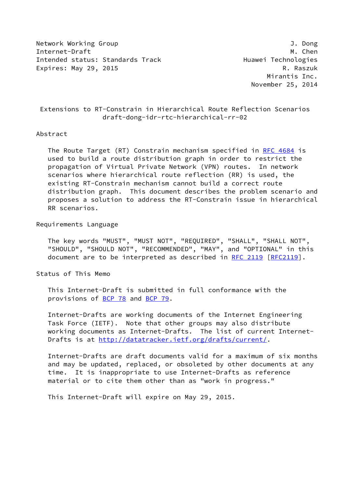Network Working Group J. Dong Internet-Draft M. Chen Intended status: Standards Track Track Huawei Technologies Expires: May 29, 2015 R. Raszuk

 Mirantis Inc. November 25, 2014

## Extensions to RT-Constrain in Hierarchical Route Reflection Scenarios draft-dong-idr-rtc-hierarchical-rr-02

#### Abstract

The Route Target (RT) Constrain mechanism specified in [RFC 4684](https://datatracker.ietf.org/doc/pdf/rfc4684) is used to build a route distribution graph in order to restrict the propagation of Virtual Private Network (VPN) routes. In network scenarios where hierarchical route reflection (RR) is used, the existing RT-Constrain mechanism cannot build a correct route distribution graph. This document describes the problem scenario and proposes a solution to address the RT-Constrain issue in hierarchical RR scenarios.

Requirements Language

 The key words "MUST", "MUST NOT", "REQUIRED", "SHALL", "SHALL NOT", "SHOULD", "SHOULD NOT", "RECOMMENDED", "MAY", and "OPTIONAL" in this document are to be interpreted as described in [RFC 2119 \[RFC2119](https://datatracker.ietf.org/doc/pdf/rfc2119)].

Status of This Memo

 This Internet-Draft is submitted in full conformance with the provisions of [BCP 78](https://datatracker.ietf.org/doc/pdf/bcp78) and [BCP 79](https://datatracker.ietf.org/doc/pdf/bcp79).

 Internet-Drafts are working documents of the Internet Engineering Task Force (IETF). Note that other groups may also distribute working documents as Internet-Drafts. The list of current Internet Drafts is at<http://datatracker.ietf.org/drafts/current/>.

 Internet-Drafts are draft documents valid for a maximum of six months and may be updated, replaced, or obsoleted by other documents at any time. It is inappropriate to use Internet-Drafts as reference material or to cite them other than as "work in progress."

This Internet-Draft will expire on May 29, 2015.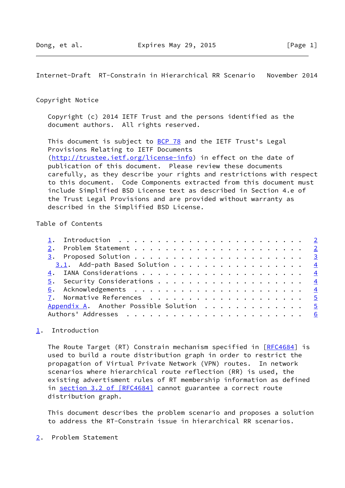<span id="page-1-1"></span>Internet-Draft RT-Constrain in Hierarchical RR Scenario November 2014

### Copyright Notice

 Copyright (c) 2014 IETF Trust and the persons identified as the document authors. All rights reserved.

This document is subject to **[BCP 78](https://datatracker.ietf.org/doc/pdf/bcp78)** and the IETF Trust's Legal Provisions Relating to IETF Documents [\(http://trustee.ietf.org/license-info](http://trustee.ietf.org/license-info)) in effect on the date of publication of this document. Please review these documents carefully, as they describe your rights and restrictions with respect to this document. Code Components extracted from this document must include Simplified BSD License text as described in Section 4.e of the Trust Legal Provisions and are provided without warranty as described in the Simplified BSD License.

## Table of Contents

| 3.1. Add-path Based Solution 4           |  |
|------------------------------------------|--|
|                                          |  |
|                                          |  |
|                                          |  |
|                                          |  |
| Appendix A. Another Possible Solution  5 |  |
|                                          |  |
|                                          |  |

# <span id="page-1-0"></span>[1](#page-1-0). Introduction

The Route Target (RT) Constrain mechanism specified in [\[RFC4684](https://datatracker.ietf.org/doc/pdf/rfc4684)] is used to build a route distribution graph in order to restrict the propagation of Virtual Private Network (VPN) routes. In network scenarios where hierarchical route reflection (RR) is used, the existing advertisment rules of RT membership information as defined in section [3.2 of \[RFC4684\]](https://datatracker.ietf.org/doc/pdf/rfc4684#section-3.2) cannot guarantee a correct route distribution graph.

 This document describes the problem scenario and proposes a solution to address the RT-Constrain issue in hierarchical RR scenarios.

<span id="page-1-2"></span>[2](#page-1-2). Problem Statement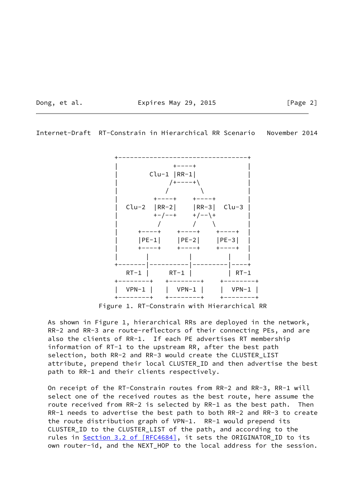Dong, et al. **Expires May 29, 2015** [Page 2]

<span id="page-2-0"></span>Internet-Draft RT-Constrain in Hierarchical RR Scenario November 2014



Figure 1. RT-Constrain with Hierarchical RR

 As shown in Figure 1, hierarchical RRs are deployed in the network, RR-2 and RR-3 are route-reflectors of their connecting PEs, and are also the clients of RR-1. If each PE advertises RT membership information of RT-1 to the upstream RR, after the best path selection, both RR-2 and RR-3 would create the CLUSTER\_LIST attribute, prepend their local CLUSTER\_ID and then advertise the best path to RR-1 and their clients respectively.

 On receipt of the RT-Constrain routes from RR-2 and RR-3, RR-1 will select one of the received routes as the best route, here assume the route received from RR-2 is selected by RR-1 as the best path. Then RR-1 needs to advertise the best path to both RR-2 and RR-3 to create the route distribution graph of VPN-1. RR-1 would prepend its CLUSTER\_ID to the CLUSTER\_LIST of the path, and according to the rules in Section [3.2 of \[RFC4684\]](https://datatracker.ietf.org/doc/pdf/rfc4684#section-3.2), it sets the ORIGINATOR\_ID to its own router-id, and the NEXT\_HOP to the local address for the session.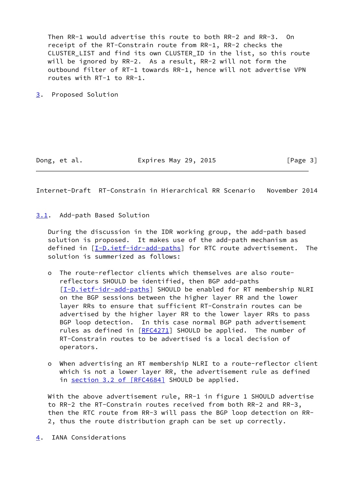Then RR-1 would advertise this route to both RR-2 and RR-3. On receipt of the RT-Constrain route from RR-1, RR-2 checks the CLUSTER\_LIST and find its own CLUSTER\_ID in the list, so this route will be ignored by RR-2. As a result, RR-2 will not form the outbound filter of RT-1 towards RR-1, hence will not advertise VPN routes with RT-1 to RR-1.

<span id="page-3-0"></span>[3](#page-3-0). Proposed Solution

Dong, et al. **Expires May 29, 2015** [Page 3]

<span id="page-3-2"></span>Internet-Draft RT-Constrain in Hierarchical RR Scenario November 2014

<span id="page-3-1"></span>[3.1](#page-3-1). Add-path Based Solution

 During the discussion in the IDR working group, the add-path based solution is proposed. It makes use of the add-path mechanism as defined in [[I-D.ietf-idr-add-paths](#page-4-5)] for RTC route advertisement. The solution is summerized as follows:

- o The route-reflector clients which themselves are also route reflectors SHOULD be identified, then BGP add-paths [[I-D.ietf-idr-add-paths](#page-4-5)] SHOULD be enabled for RT membership NLRI on the BGP sessions between the higher layer RR and the lower layer RRs to ensure that sufficient RT-Constrain routes can be advertised by the higher layer RR to the lower layer RRs to pass BGP loop detection. In this case normal BGP path advertisement rules as defined in [\[RFC4271](https://datatracker.ietf.org/doc/pdf/rfc4271)] SHOULD be applied. The number of RT-Constrain routes to be advertised is a local decision of operators.
- o When advertising an RT membership NLRI to a route-reflector client which is not a lower layer RR, the advertisement rule as defined in section [3.2 of \[RFC4684\]](https://datatracker.ietf.org/doc/pdf/rfc4684#section-3.2) SHOULD be applied.

With the above advertisement rule, RR-1 in figure 1 SHOULD advertise to RR-2 the RT-Constrain routes received from both RR-2 and RR-3, then the RTC route from RR-3 will pass the BGP loop detection on RR- 2, thus the route distribution graph can be set up correctly.

<span id="page-3-3"></span>[4](#page-3-3). IANA Considerations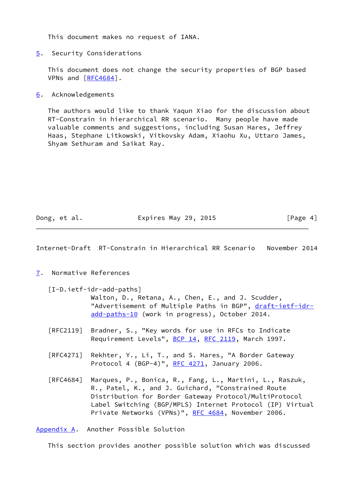This document makes no request of IANA.

<span id="page-4-0"></span>[5](#page-4-0). Security Considerations

 This document does not change the security properties of BGP based VPNs and [\[RFC4684](https://datatracker.ietf.org/doc/pdf/rfc4684)].

<span id="page-4-1"></span>[6](#page-4-1). Acknowledgements

 The authors would like to thank Yaqun Xiao for the discussion about RT-Constrain in hierarchical RR scenario. Many people have made valuable comments and suggestions, including Susan Hares, Jeffrey Haas, Stephane Litkowski, Vitkovsky Adam, Xiaohu Xu, Uttaro James, Shyam Sethuram and Saikat Ray.

Dong, et al. **Expires May 29, 2015** [Page 4]

<span id="page-4-3"></span>Internet-Draft RT-Constrain in Hierarchical RR Scenario November 2014

<span id="page-4-2"></span>[7](#page-4-2). Normative References

<span id="page-4-5"></span>[I-D.ietf-idr-add-paths]

 Walton, D., Retana, A., Chen, E., and J. Scudder, "Advertisement of Multiple Paths in BGP", [draft-ietf-idr](https://datatracker.ietf.org/doc/pdf/draft-ietf-idr-add-paths-10) [add-paths-10](https://datatracker.ietf.org/doc/pdf/draft-ietf-idr-add-paths-10) (work in progress), October 2014.

- [RFC2119] Bradner, S., "Key words for use in RFCs to Indicate Requirement Levels", [BCP 14](https://datatracker.ietf.org/doc/pdf/bcp14), [RFC 2119](https://datatracker.ietf.org/doc/pdf/rfc2119), March 1997.
- [RFC4271] Rekhter, Y., Li, T., and S. Hares, "A Border Gateway Protocol 4 (BGP-4)", [RFC 4271](https://datatracker.ietf.org/doc/pdf/rfc4271), January 2006.
- [RFC4684] Marques, P., Bonica, R., Fang, L., Martini, L., Raszuk, R., Patel, K., and J. Guichard, "Constrained Route Distribution for Border Gateway Protocol/MultiProtocol Label Switching (BGP/MPLS) Internet Protocol (IP) Virtual Private Networks (VPNs)", [RFC 4684](https://datatracker.ietf.org/doc/pdf/rfc4684), November 2006.

<span id="page-4-4"></span>[Appendix A.](#page-4-4) Another Possible Solution

This section provides another possible solution which was discussed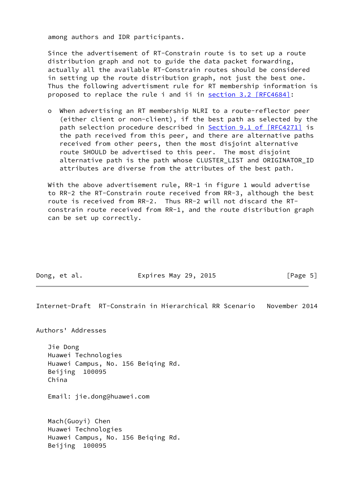among authors and IDR participants.

 Since the advertisement of RT-Constrain route is to set up a route distribution graph and not to guide the data packet forwarding, actually all the available RT-Constrain routes should be considered in setting up the route distribution graph, not just the best one. Thus the following advertisment rule for RT membership information is proposed to replace the rule i and ii in section [3.2 \[RFC4684\]](https://datatracker.ietf.org/doc/pdf/rfc4684#section-3.2):

 o When advertising an RT membership NLRI to a route-reflector peer (either client or non-client), if the best path as selected by the path selection procedure described in Section [9.1 of \[RFC4271\]](https://datatracker.ietf.org/doc/pdf/rfc4271#section-9.1) is the path received from this peer, and there are alternative paths received from other peers, then the most disjoint alternative route SHOULD be advertised to this peer. The most disjoint alternative path is the path whose CLUSTER LIST and ORIGINATOR ID attributes are diverse from the attributes of the best path.

With the above advertisement rule, RR-1 in figure 1 would advertise to RR-2 the RT-Constrain route received from RR-3, although the best route is received from RR-2. Thus RR-2 will not discard the RT constrain route received from RR-1, and the route distribution graph can be set up correctly.

Dong, et al. **Expires May 29, 2015** [Page 5]

<span id="page-5-0"></span>Internet-Draft RT-Constrain in Hierarchical RR Scenario November 2014

Authors' Addresses

 Jie Dong Huawei Technologies Huawei Campus, No. 156 Beiqing Rd. Beijing 100095 China

Email: jie.dong@huawei.com

 Mach(Guoyi) Chen Huawei Technologies Huawei Campus, No. 156 Beiqing Rd. Beijing 100095